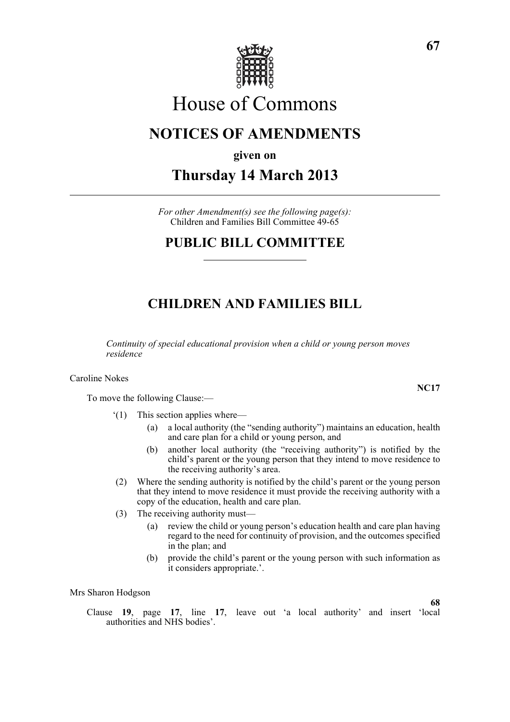

# House of Commons

# **NOTICES OF AMENDMENTS**

**given on**

**Thursday 14 March 2013**

*For other Amendment(s) see the following page(s):* Children and Families Bill Committee 49-65

# **PUBLIC BILL COMMITTEE**

# **CHILDREN AND FAMILIES BILL**

*Continuity of special educational provision when a child or young person moves residence*

Caroline Nokes

To move the following Clause:—

- '(1) This section applies where—
	- (a) a local authority (the "sending authority") maintains an education, health and care plan for a child or young person, and
	- (b) another local authority (the "receiving authority") is notified by the child's parent or the young person that they intend to move residence to the receiving authority's area.
- (2) Where the sending authority is notified by the child's parent or the young person that they intend to move residence it must provide the receiving authority with a copy of the education, health and care plan.
- (3) The receiving authority must—
	- (a) review the child or young person's education health and care plan having regard to the need for continuity of provision, and the outcomes specified in the plan; and
	- (b) provide the child's parent or the young person with such information as it considers appropriate.'.

### Mrs Sharon Hodgson

Clause **19**, page **17**, line **17**, leave out 'a local authority' and insert 'local authorities and NHS bodies'.

**NC17**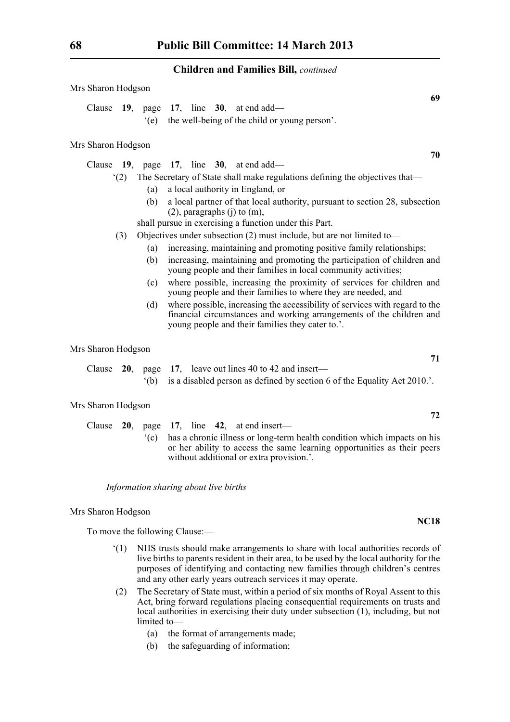| Mrs Sharon Hodgson |     |                                                                             |                                                                                                                                                                                                                   |  |  |  |  |  |  |             |    |
|--------------------|-----|-----------------------------------------------------------------------------|-------------------------------------------------------------------------------------------------------------------------------------------------------------------------------------------------------------------|--|--|--|--|--|--|-------------|----|
| Clause             | 19, | page<br>(e)                                                                 | 17, line $30$ , at end add—<br>the well-being of the child or young person'.                                                                                                                                      |  |  |  |  |  |  |             | 69 |
| Mrs Sharon Hodgson |     |                                                                             |                                                                                                                                                                                                                   |  |  |  |  |  |  |             |    |
|                    |     | Clause $19$ , page $17$ , line $30$ , at end add—                           |                                                                                                                                                                                                                   |  |  |  |  |  |  |             | 70 |
|                    | (2) | The Secretary of State shall make regulations defining the objectives that- |                                                                                                                                                                                                                   |  |  |  |  |  |  |             |    |
|                    |     | (a)                                                                         | a local authority in England, or                                                                                                                                                                                  |  |  |  |  |  |  |             |    |
|                    |     | (b)                                                                         | a local partner of that local authority, pursuant to section 28, subsection<br>$(2)$ , paragraphs $(j)$ to $(m)$ ,                                                                                                |  |  |  |  |  |  |             |    |
|                    |     | shall pursue in exercising a function under this Part.                      |                                                                                                                                                                                                                   |  |  |  |  |  |  |             |    |
|                    | (3) | Objectives under subsection $(2)$ must include, but are not limited to-     |                                                                                                                                                                                                                   |  |  |  |  |  |  |             |    |
|                    |     | (a)<br>(b)                                                                  | increasing, maintaining and promoting positive family relationships;<br>increasing, maintaining and promoting the participation of children and<br>young people and their families in local community activities; |  |  |  |  |  |  |             |    |
|                    |     | (c)                                                                         | where possible, increasing the proximity of services for children and<br>young people and their families to where they are needed, and                                                                            |  |  |  |  |  |  |             |    |
|                    |     | (d)                                                                         | where possible, increasing the accessibility of services with regard to the<br>financial circumstances and working arrangements of the children and<br>young people and their families they cater to.'.           |  |  |  |  |  |  |             |    |
| Mrs Sharon Hodgson |     |                                                                             |                                                                                                                                                                                                                   |  |  |  |  |  |  |             |    |
| Clause             |     | $20$ , page                                                                 | 17, leave out lines 40 to 42 and insert—                                                                                                                                                                          |  |  |  |  |  |  |             | 71 |
|                    |     | $^{\circ}$ (b)                                                              | is a disabled person as defined by section 6 of the Equality Act 2010.'.                                                                                                                                          |  |  |  |  |  |  |             |    |
| Mrs Sharon Hodgson |     |                                                                             |                                                                                                                                                                                                                   |  |  |  |  |  |  |             | 72 |
| Clause             | 20, |                                                                             | page 17, line 42, at end insert-                                                                                                                                                                                  |  |  |  |  |  |  |             |    |
|                    |     | $\degree$ (c)                                                               | has a chronic illness or long-term health condition which impacts on his<br>or her ability to access the same learning opportunities as their peers<br>without additional or extra provision.'.                   |  |  |  |  |  |  |             |    |
|                    |     | Information sharing about live births                                       |                                                                                                                                                                                                                   |  |  |  |  |  |  |             |    |
| Mrs Sharon Hodgson |     |                                                                             |                                                                                                                                                                                                                   |  |  |  |  |  |  |             |    |
|                    |     | To move the following Clause:-                                              |                                                                                                                                                                                                                   |  |  |  |  |  |  | <b>NC18</b> |    |

- '(1) NHS trusts should make arrangements to share with local authorities records of live births to parents resident in their area, to be used by the local authority for the purposes of identifying and contacting new families through children's centres and any other early years outreach services it may operate.
- (2) The Secretary of State must, within a period of six months of Royal Assent to this Act, bring forward regulations placing consequential requirements on trusts and local authorities in exercising their duty under subsection (1), including, but not limited to—
	- (a) the format of arrangements made;
	- (b) the safeguarding of information;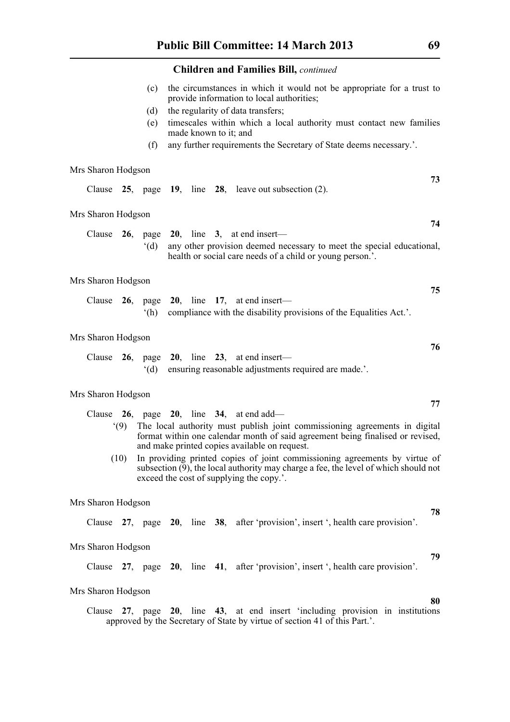- (c) the circumstances in which it would not be appropriate for a trust to provide information to local authorities;
- (d) the regularity of data transfers;
- (e) timescales within which a local authority must contact new families made known to it; and
- (f) any further requirements the Secretary of State deems necessary.'.

#### Mrs Sharon Hodgson

|  |  |  |  |  |  | Clause $25$ , page $19$ , line $28$ , leave out subsection (2). |
|--|--|--|--|--|--|-----------------------------------------------------------------|
|--|--|--|--|--|--|-----------------------------------------------------------------|

#### Mrs Sharon Hodgson

|  |  |  | Clause 26, page 20, line 3, at end insert—                                |
|--|--|--|---------------------------------------------------------------------------|
|  |  |  | (d) any other provision deemed necessary to meet the special educational, |
|  |  |  | health or social care needs of a child or young person.'.                 |

#### Mrs Sharon Hodgson

|  |  |  | Clause $26$ , page $20$ , line 17, at end insert—                      |
|--|--|--|------------------------------------------------------------------------|
|  |  |  | (h) compliance with the disability provisions of the Equalities Act.'. |

#### Mrs Sharon Hodgson

|  |  |  | Clause 26, page 20, line 23, at end insert—           |
|--|--|--|-------------------------------------------------------|
|  |  |  | (d) ensuring reasonable adjustments required are made |

#### Mrs Sharon Hodgson

- Clause **26**, page **20**, line **34**, at end add—
	- '(9) The local authority must publish joint commissioning agreements in digital format within one calendar month of said agreement being finalised or revised, and make printed copies available on request.
	- (10) In providing printed copies of joint commissioning agreements by virtue of subsection  $(\overline{9})$ , the local authority may charge a fee, the level of which should not exceed the cost of supplying the copy.'.

#### Mrs Sharon Hodgson

Clause **27**, page **20**, line **38**, after 'provision', insert ', health care provision'.

#### Mrs Sharon Hodgson

Clause **27**, page **20**, line **41**, after 'provision', insert ', health care provision'.

#### Mrs Sharon Hodgson

Clause **27**, page **20**, line **43**, at end insert 'including provision in institutions approved by the Secretary of State by virtue of section 41 of this Part.'.

**73**

**74**

**75**

**76**

**77**

## **79**

**80**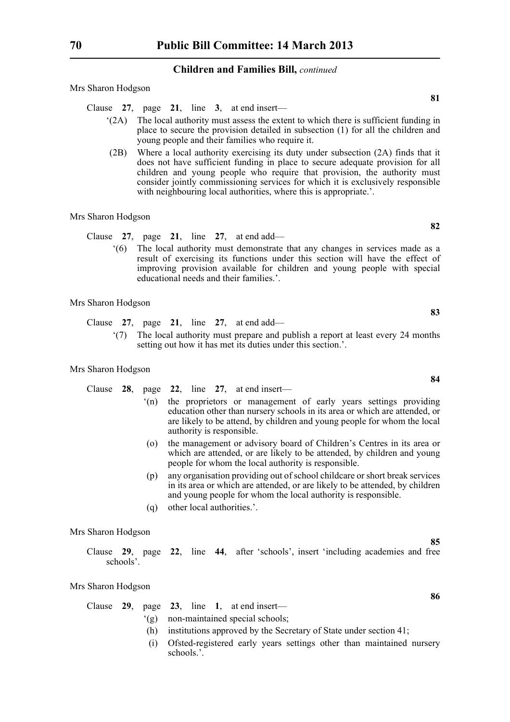Mrs Sharon Hodgson

Clause **27**, page **21**, line **3**, at end insert—

- '(2A) The local authority must assess the extent to which there is sufficient funding in place to secure the provision detailed in subsection (1) for all the children and young people and their families who require it.
- (2B) Where a local authority exercising its duty under subsection (2A) finds that it does not have sufficient funding in place to secure adequate provision for all children and young people who require that provision, the authority must consider jointly commissioning services for which it is exclusively responsible with neighbouring local authorities, where this is appropriate.'.

#### Mrs Sharon Hodgson

- Clause **27**, page **21**, line **27**, at end add—
	- '(6) The local authority must demonstrate that any changes in services made as a result of exercising its functions under this section will have the effect of improving provision available for children and young people with special educational needs and their families.'.

#### Mrs Sharon Hodgson

Clause **27**, page **21**, line **27**, at end add—

'(7) The local authority must prepare and publish a report at least every 24 months setting out how it has met its duties under this section.'.

#### Mrs Sharon Hodgson

- Clause **28**, page **22**, line **27**, at end insert— '(n) the proprietors or management of early years settings providing education other than nursery schools in its area or which are attended, or are likely to be attend, by children and young people for whom the local authority is responsible.
	- (o) the management or advisory board of Children's Centres in its area or which are attended, or are likely to be attended, by children and young people for whom the local authority is responsible.
	- (p) any organisation providing out of school childcare or short break services in its area or which are attended, or are likely to be attended, by children and young people for whom the local authority is responsible.
	- (q) other local authorities.'.

#### Mrs Sharon Hodgson

Clause **29**, page **22**, line **44**, after 'schools', insert 'including academies and free schools'.

#### Mrs Sharon Hodgson

|  |  |  |  |  |  | Clause $29$ , page $23$ , line 1, at end insert— |
|--|--|--|--|--|--|--------------------------------------------------|
|--|--|--|--|--|--|--------------------------------------------------|

- '(g) non-maintained special schools;
	- (h) institutions approved by the Secretary of State under section 41;
	- (i) Ofsted-registered early years settings other than maintained nursery schools<sup>?</sup>

**82**

**81**

**84**

**83**

**85**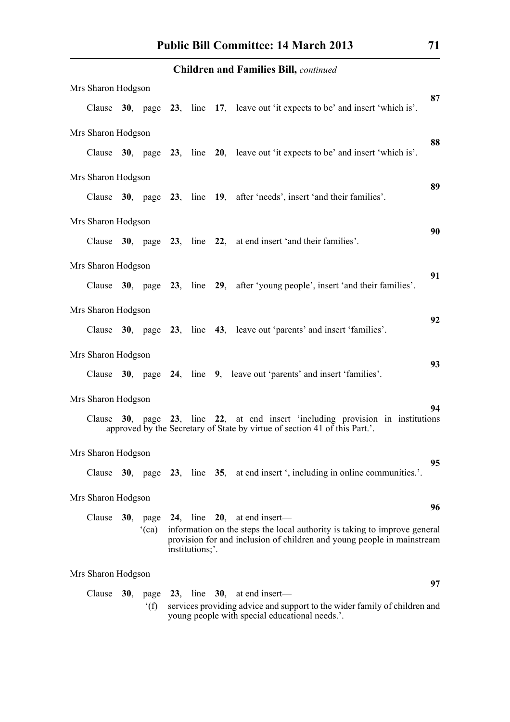| Mrs Sharon Hodgson |                |                 |                                                                                                                                                        | 87 |
|--------------------|----------------|-----------------|--------------------------------------------------------------------------------------------------------------------------------------------------------|----|
|                    |                |                 | Clause 30, page 23, line 17, leave out 'it expects to be' and insert 'which is'.                                                                       |    |
| Mrs Sharon Hodgson |                |                 |                                                                                                                                                        |    |
|                    |                |                 | Clause 30, page 23, line 20, leave out 'it expects to be' and insert 'which is'.                                                                       | 88 |
| Mrs Sharon Hodgson |                |                 |                                                                                                                                                        |    |
|                    |                |                 | Clause 30, page 23, line 19, after 'needs', insert 'and their families'.                                                                               | 89 |
| Mrs Sharon Hodgson |                |                 |                                                                                                                                                        |    |
|                    |                |                 | Clause 30, page 23, line 22, at end insert 'and their families'.                                                                                       | 90 |
| Mrs Sharon Hodgson |                |                 |                                                                                                                                                        |    |
|                    |                |                 | Clause 30, page 23, line 29, after 'young people', insert 'and their families'.                                                                        | 91 |
| Mrs Sharon Hodgson |                |                 |                                                                                                                                                        |    |
|                    |                |                 | Clause 30, page 23, line 43, leave out 'parents' and insert 'families'.                                                                                | 92 |
| Mrs Sharon Hodgson |                |                 |                                                                                                                                                        |    |
|                    |                |                 | Clause 30, page 24, line 9, leave out 'parents' and insert 'families'.                                                                                 | 93 |
| Mrs Sharon Hodgson |                |                 |                                                                                                                                                        |    |
| Clause             |                |                 | 30, page 23, line 22, at end insert 'including provision in institutions<br>approved by the Secretary of State by virtue of section 41 of this Part.'. | 94 |
| Mrs Sharon Hodgson |                |                 |                                                                                                                                                        |    |
|                    |                |                 | Clause 30, page 23, line 35, at end insert ', including in online communities.'.                                                                       | 95 |
| Mrs Sharon Hodgson |                |                 |                                                                                                                                                        |    |
| Clause             |                |                 | 30, page 24, line 20, at end insert—                                                                                                                   | 96 |
|                    | (ca)           | institutions;'. | information on the steps the local authority is taking to improve general<br>provision for and inclusion of children and young people in mainstream    |    |
| Mrs Sharon Hodgson |                |                 |                                                                                                                                                        |    |
| Clause             |                |                 | 30, page $23$ , line $30$ , at end insert-                                                                                                             | 97 |
|                    | $^{\circ}$ (f) |                 | services providing advice and support to the wider family of children and                                                                              |    |

young people with special educational needs.'.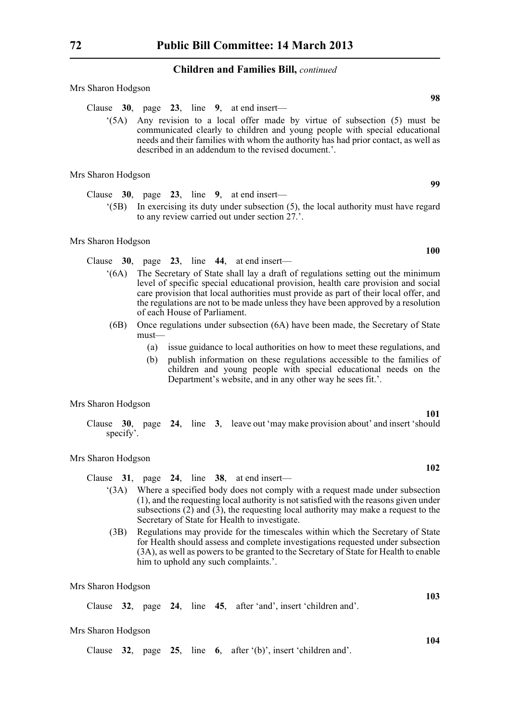Mrs Sharon Hodgson

- Clause **30**, page **23**, line **9**, at end insert—
	- '(5A) Any revision to a local offer made by virtue of subsection (5) must be communicated clearly to children and young people with special educational needs and their families with whom the authority has had prior contact, as well as described in an addendum to the revised document.'.

Mrs Sharon Hodgson

Clause **30**, page **23**, line **9**, at end insert— '(5B) In exercising its duty under subsection (5), the local authority must have regard to any review carried out under section 27.'.

#### Mrs Sharon Hodgson

Clause **30**, page **23**, line **44**, at end insert—

- '(6A) The Secretary of State shall lay a draft of regulations setting out the minimum level of specific special educational provision, health care provision and social care provision that local authorities must provide as part of their local offer, and the regulations are not to be made unless they have been approved by a resolution of each House of Parliament.
- (6B) Once regulations under subsection (6A) have been made, the Secretary of State must—
	- (a) issue guidance to local authorities on how to meet these regulations, and
	- (b) publish information on these regulations accessible to the families of children and young people with special educational needs on the Department's website, and in any other way he sees fit.'.

#### Mrs Sharon Hodgson

Clause **30**, page **24**, line **3**, leave out 'may make provision about' and insert 'should specify'.

#### Mrs Sharon Hodgson

Clause **31**, page **24**, line **38**, at end insert—

- '(3A) Where a specified body does not comply with a request made under subsection (1), and the requesting local authority is not satisfied with the reasons given under subsections  $(2)$  and  $(3)$ , the requesting local authority may make a request to the Secretary of State for Health to investigate.
- (3B) Regulations may provide for the timescales within which the Secretary of State for Health should assess and complete investigations requested under subsection (3A), as well as powers to be granted to the Secretary of State for Health to enable him to uphold any such complaints.'.

Mrs Sharon Hodgson

Clause **32**, page **24**, line **45**, after 'and', insert 'children and'.

#### Mrs Sharon Hodgson

Clause **32**, page **25**, line **6**, after '(b)', insert 'children and'.

**100**

**99**

**98**

**101**

**102**

**104**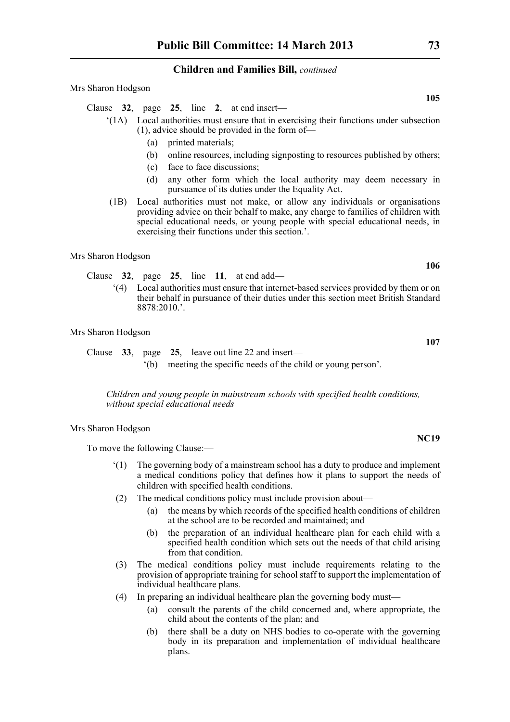Mrs Sharon Hodgson

Clause **32**, page **25**, line **2**, at end insert—

- '(1A) Local authorities must ensure that in exercising their functions under subsection (1), advice should be provided in the form of—
	- (a) printed materials;
	- (b) online resources, including signposting to resources published by others;
	- (c) face to face discussions;
	- (d) any other form which the local authority may deem necessary in pursuance of its duties under the Equality Act.
- (1B) Local authorities must not make, or allow any individuals or organisations providing advice on their behalf to make, any charge to families of children with special educational needs, or young people with special educational needs, in exercising their functions under this section.'.

Mrs Sharon Hodgson

Clause **32**, page **25**, line **11**, at end add—

'(4) Local authorities must ensure that internet-based services provided by them or on their behalf in pursuance of their duties under this section meet British Standard  $8878.2010$ 

Mrs Sharon Hodgson

Clause **33**, page **25**, leave out line 22 and insert— '(b) meeting the specific needs of the child or young person'.

*Children and young people in mainstream schools with specified health conditions, without special educational needs*

#### Mrs Sharon Hodgson

To move the following Clause:—

- '(1) The governing body of a mainstream school has a duty to produce and implement a medical conditions policy that defines how it plans to support the needs of children with specified health conditions.
- (2) The medical conditions policy must include provision about—
	- (a) the means by which records of the specified health conditions of children at the school are to be recorded and maintained; and
	- (b) the preparation of an individual healthcare plan for each child with a specified health condition which sets out the needs of that child arising from that condition.
- (3) The medical conditions policy must include requirements relating to the provision of appropriate training for school staff to support the implementation of individual healthcare plans.
- (4) In preparing an individual healthcare plan the governing body must—
	- (a) consult the parents of the child concerned and, where appropriate, the child about the contents of the plan; and
	- (b) there shall be a duty on NHS bodies to co-operate with the governing body in its preparation and implementation of individual healthcare plans.

**105**

**106**

**107**

**NC19**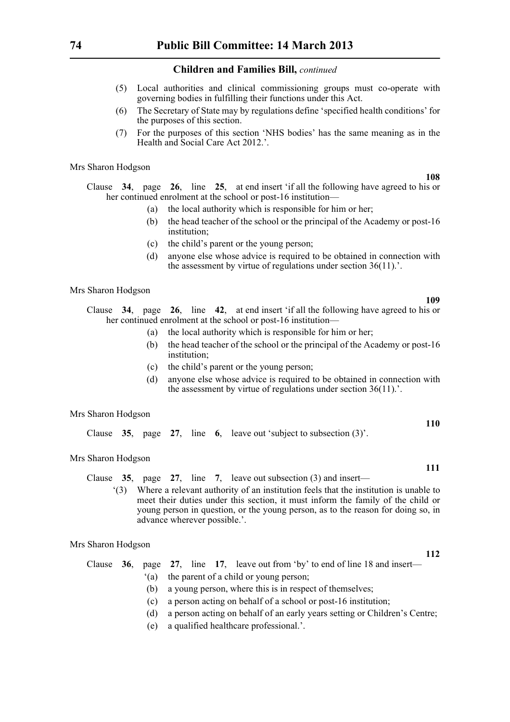- (5) Local authorities and clinical commissioning groups must co-operate with governing bodies in fulfilling their functions under this Act.
- (6) The Secretary of State may by regulations define 'specified health conditions' for the purposes of this section.
- (7) For the purposes of this section 'NHS bodies' has the same meaning as in the Health and Social Care Act 2012.'.

Mrs Sharon Hodgson

Clause **34**, page **26**, line **25**, at end insert 'if all the following have agreed to his or her continued enrolment at the school or post-16 institution—

- (a) the local authority which is responsible for him or her;
- (b) the head teacher of the school or the principal of the Academy or post-16 institution;
- (c) the child's parent or the young person;
- (d) anyone else whose advice is required to be obtained in connection with the assessment by virtue of regulations under section 36(11).'.

Mrs Sharon Hodgson

- Clause **34**, page **26**, line **42**, at end insert 'if all the following have agreed to his or her continued enrolment at the school or post-16 institution—
	- (a) the local authority which is responsible for him or her;
	- (b) the head teacher of the school or the principal of the Academy or post-16 institution;
	- (c) the child's parent or the young person;
	- (d) anyone else whose advice is required to be obtained in connection with the assessment by virtue of regulations under section 36(11).'.

#### Mrs Sharon Hodgson

|  |  |  |  |  |  |  | Clause $35$ , page $27$ , line 6, leave out 'subject to subsection (3)'. |  |  |
|--|--|--|--|--|--|--|--------------------------------------------------------------------------|--|--|
|--|--|--|--|--|--|--|--------------------------------------------------------------------------|--|--|

Mrs Sharon Hodgson

- Clause **35**, page **27**, line **7**, leave out subsection (3) and insert—
	- '(3) Where a relevant authority of an institution feels that the institution is unable to meet their duties under this section, it must inform the family of the child or young person in question, or the young person, as to the reason for doing so, in advance wherever possible.'.

#### Mrs Sharon Hodgson

Clause **36**, page **27**, line **17**, leave out from 'by' to end of line 18 and insert—

- '(a) the parent of a child or young person;
- (b) a young person, where this is in respect of themselves;
- (c) a person acting on behalf of a school or post-16 institution;
- (d) a person acting on behalf of an early years setting or Children's Centre;
- (e) a qualified healthcare professional.'.

# **110**

**111**

**109**

**108**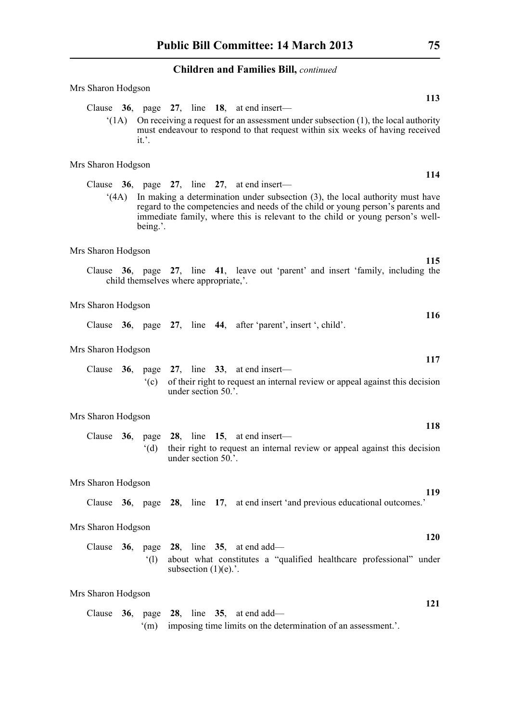| Mrs Sharon Hodgson<br>113                                                                                                                                                                                                                                                |  |  |  |  |  |  |  |  |  |  |  |  |  |  |
|--------------------------------------------------------------------------------------------------------------------------------------------------------------------------------------------------------------------------------------------------------------------------|--|--|--|--|--|--|--|--|--|--|--|--|--|--|
| Clause 36, page 27, line 18, at end insert—<br>(1A)<br>On receiving a request for an assessment under subsection $(1)$ , the local authority                                                                                                                             |  |  |  |  |  |  |  |  |  |  |  |  |  |  |
| must endeavour to respond to that request within six weeks of having received<br>it'.                                                                                                                                                                                    |  |  |  |  |  |  |  |  |  |  |  |  |  |  |
| Mrs Sharon Hodgson<br>114                                                                                                                                                                                                                                                |  |  |  |  |  |  |  |  |  |  |  |  |  |  |
| Clause $36$ , page $27$ , line $27$ , at end insert—                                                                                                                                                                                                                     |  |  |  |  |  |  |  |  |  |  |  |  |  |  |
| In making a determination under subsection $(3)$ , the local authority must have<br>(4A)<br>regard to the competencies and needs of the child or young person's parents and<br>immediate family, where this is relevant to the child or young person's well-<br>being.'. |  |  |  |  |  |  |  |  |  |  |  |  |  |  |
| Mrs Sharon Hodgson                                                                                                                                                                                                                                                       |  |  |  |  |  |  |  |  |  |  |  |  |  |  |
| 115<br>Clause 36, page 27, line 41, leave out 'parent' and insert 'family, including the<br>child themselves where appropriate,'.                                                                                                                                        |  |  |  |  |  |  |  |  |  |  |  |  |  |  |
| Mrs Sharon Hodgson<br><b>116</b>                                                                                                                                                                                                                                         |  |  |  |  |  |  |  |  |  |  |  |  |  |  |
| Clause 36, page 27, line 44, after 'parent', insert ', child'.                                                                                                                                                                                                           |  |  |  |  |  |  |  |  |  |  |  |  |  |  |
| Mrs Sharon Hodgson                                                                                                                                                                                                                                                       |  |  |  |  |  |  |  |  |  |  |  |  |  |  |
| 117<br>Clause $36$ , page $27$ , line $33$ , at end insert—<br>of their right to request an internal review or appeal against this decision<br>$\degree$ (c)<br>under section 50.'.                                                                                      |  |  |  |  |  |  |  |  |  |  |  |  |  |  |
| Mrs Sharon Hodgson                                                                                                                                                                                                                                                       |  |  |  |  |  |  |  |  |  |  |  |  |  |  |
| 118<br>Clause $36$ , page $28$ , line $15$ , at end insert—                                                                                                                                                                                                              |  |  |  |  |  |  |  |  |  |  |  |  |  |  |
| '(d)<br>their right to request an internal review or appeal against this decision<br>under section 50.'.                                                                                                                                                                 |  |  |  |  |  |  |  |  |  |  |  |  |  |  |
| Mrs Sharon Hodgson                                                                                                                                                                                                                                                       |  |  |  |  |  |  |  |  |  |  |  |  |  |  |
| 119<br>Clause 36, page 28, line 17, at end insert 'and previous educational outcomes.'                                                                                                                                                                                   |  |  |  |  |  |  |  |  |  |  |  |  |  |  |
| Mrs Sharon Hodgson<br>120                                                                                                                                                                                                                                                |  |  |  |  |  |  |  |  |  |  |  |  |  |  |
| Clause $36$ , page $28$ , line $35$ , at end add—<br>about what constitutes a "qualified healthcare professional" under<br>$\degree$ (1)<br>subsection $(1)(e)$ .'.                                                                                                      |  |  |  |  |  |  |  |  |  |  |  |  |  |  |
| Mrs Sharon Hodgson                                                                                                                                                                                                                                                       |  |  |  |  |  |  |  |  |  |  |  |  |  |  |
| 121<br>Clause $36$ , page $28$ , line $35$ , at end add—<br>imposing time limits on the determination of an assessment.'.<br>$\mathrm{m}$                                                                                                                                |  |  |  |  |  |  |  |  |  |  |  |  |  |  |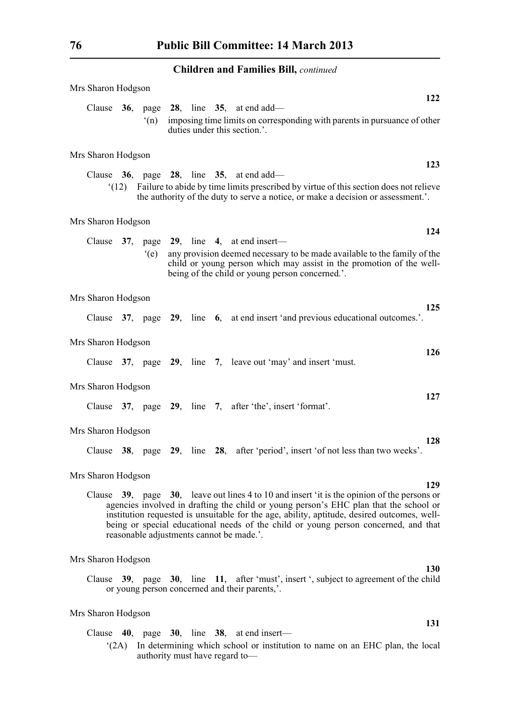| Mrs Sharon Hodgson |     |  | 122                                                                                                                                                                                                                                                                                                                                                                                                                                 |
|--------------------|-----|--|-------------------------------------------------------------------------------------------------------------------------------------------------------------------------------------------------------------------------------------------------------------------------------------------------------------------------------------------------------------------------------------------------------------------------------------|
| Clause $36$ ,      | (n) |  | page $28$ , line $35$ , at end add—<br>imposing time limits on corresponding with parents in pursuance of other<br>duties under this section.'.                                                                                                                                                                                                                                                                                     |
| Mrs Sharon Hodgson |     |  |                                                                                                                                                                                                                                                                                                                                                                                                                                     |
|                    |     |  | 123<br>Clause $36$ , page $28$ , line $35$ , at end add—                                                                                                                                                                                                                                                                                                                                                                            |
|                    |     |  | (12) Failure to abide by time limits prescribed by virtue of this section does not relieve<br>the authority of the duty to serve a notice, or make a decision or assessment.'.                                                                                                                                                                                                                                                      |
| Mrs Sharon Hodgson |     |  |                                                                                                                                                                                                                                                                                                                                                                                                                                     |
|                    |     |  | 124<br>Clause $37$ , page $29$ , line 4, at end insert—                                                                                                                                                                                                                                                                                                                                                                             |
|                    | (e) |  | any provision deemed necessary to be made available to the family of the<br>child or young person which may assist in the promotion of the well-<br>being of the child or young person concerned.'.                                                                                                                                                                                                                                 |
| Mrs Sharon Hodgson |     |  |                                                                                                                                                                                                                                                                                                                                                                                                                                     |
|                    |     |  | 125<br>Clause 37, page 29, line 6, at end insert 'and previous educational outcomes.'.                                                                                                                                                                                                                                                                                                                                              |
| Mrs Sharon Hodgson |     |  |                                                                                                                                                                                                                                                                                                                                                                                                                                     |
|                    |     |  | 126<br>Clause 37, page 29, line 7, leave out 'may' and insert 'must.                                                                                                                                                                                                                                                                                                                                                                |
| Mrs Sharon Hodgson |     |  |                                                                                                                                                                                                                                                                                                                                                                                                                                     |
|                    |     |  | 127<br>Clause 37, page 29, line 7, after 'the', insert 'format'.                                                                                                                                                                                                                                                                                                                                                                    |
| Mrs Sharon Hodgson |     |  |                                                                                                                                                                                                                                                                                                                                                                                                                                     |
|                    |     |  | 128<br>Clause 38, page 29, line 28, after 'period', insert 'of not less than two weeks'.                                                                                                                                                                                                                                                                                                                                            |
| Mrs Sharon Hodgson |     |  |                                                                                                                                                                                                                                                                                                                                                                                                                                     |
|                    |     |  | 129<br>Clause $39$ , page $30$ , leave out lines 4 to 10 and insert 'it is the opinion of the persons or<br>agencies involved in drafting the child or young person's EHC plan that the school or<br>institution requested is unsuitable for the age, ability, aptitude, desired outcomes, well-<br>being or special educational needs of the child or young person concerned, and that<br>reasonable adjustments cannot be made.'. |
| Mrs Sharon Hodgson |     |  |                                                                                                                                                                                                                                                                                                                                                                                                                                     |
|                    |     |  | <b>130</b><br>Clause 39, page 30, line 11, after 'must', insert ', subject to agreement of the child<br>or young person concerned and their parents,'.                                                                                                                                                                                                                                                                              |

### Mrs Sharon Hodgson

Clause **40**, page **30**, line **38**, at end insert—

'(2A) In determining which school or institution to name on an EHC plan, the local authority must have regard to—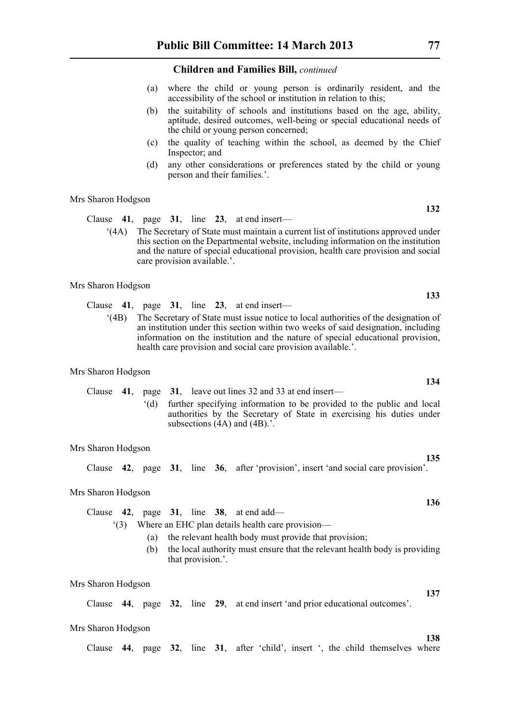- (a) where the child or young person is ordinarily resident, and the accessibility of the school or institution in relation to this;
- (b) the suitability of schools and institutions based on the age, ability, aptitude, desired outcomes, well-being or special educational needs of the child or young person concerned;
- (c) the quality of teaching within the school, as deemed by the Chief Inspector; and
- (d) any other considerations or preferences stated by the child or young person and their families.'.

Mrs Sharon Hodgson

Clause **41**, page **31**, line **23**, at end insert—

'(4A) The Secretary of State must maintain a current list of institutions approved under this section on the Departmental website, including information on the institution and the nature of special educational provision, health care provision and social care provision available.'.

Mrs Sharon Hodgson

- Clause **41**, page **31**, line **23**, at end insert—
	- '(4B) The Secretary of State must issue notice to local authorities of the designation of an institution under this section within two weeks of said designation, including information on the institution and the nature of special educational provision, health care provision and social care provision available.'.

#### Mrs Sharon Hodgson

|  | Clause 41, page 31, leave out lines 32 and 33 at end insert—          |
|--|-----------------------------------------------------------------------|
|  | further specifying information to be provided to the public and local |
|  | authorities by the Secretary of State in exercising his duties under  |
|  | subsections $(4A)$ and $(4B)$                                         |

#### Mrs Sharon Hodgson

Clause **42**, page **31**, line **36**, after 'provision', insert 'and social care provision'.

#### Mrs Sharon Hodgson

Clause **42**, page **31**, line **38**, at end add—

'(3) Where an EHC plan details health care provision—

- (a) the relevant health body must provide that provision;
- (b) the local authority must ensure that the relevant health body is providing that provision.'.

Mrs Sharon Hodgson

Clause **44**, page **32**, line **29**, at end insert 'and prior educational outcomes'.

#### Mrs Sharon Hodgson

Clause **44**, page **32**, line **31**, after 'child', insert ', the child themselves where

**132**

**133**

**134**

**135**

**136**

**137**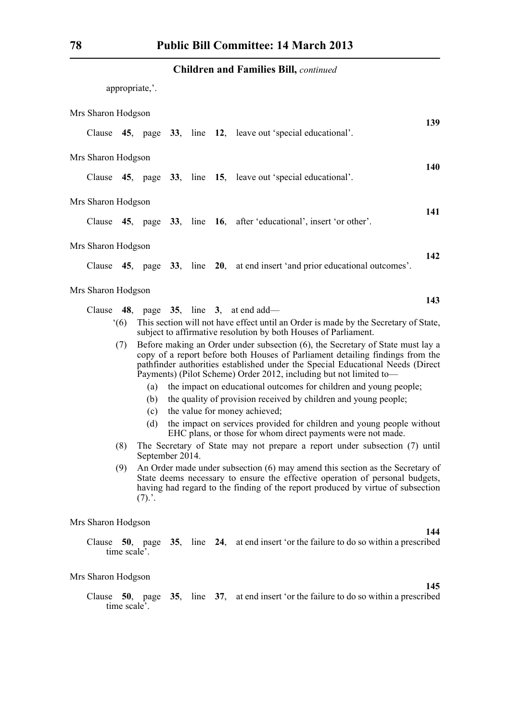appropriate,'.

| Mrs Sharon Hodgson |     |     |  |                                                                                                                                                                                                                                                                                                                         |     |
|--------------------|-----|-----|--|-------------------------------------------------------------------------------------------------------------------------------------------------------------------------------------------------------------------------------------------------------------------------------------------------------------------------|-----|
|                    |     |     |  | Clause 45, page 33, line 12, leave out 'special educational'.                                                                                                                                                                                                                                                           | 139 |
| Mrs Sharon Hodgson |     |     |  |                                                                                                                                                                                                                                                                                                                         | 140 |
|                    |     |     |  | Clause 45, page 33, line 15, leave out 'special educational'.                                                                                                                                                                                                                                                           |     |
| Mrs Sharon Hodgson |     |     |  |                                                                                                                                                                                                                                                                                                                         | 141 |
|                    |     |     |  | Clause 45, page 33, line 16, after 'educational', insert 'or other'.                                                                                                                                                                                                                                                    |     |
| Mrs Sharon Hodgson |     |     |  |                                                                                                                                                                                                                                                                                                                         | 142 |
|                    |     |     |  | Clause 45, page 33, line 20, at end insert 'and prior educational outcomes'.                                                                                                                                                                                                                                            |     |
| Mrs Sharon Hodgson |     |     |  |                                                                                                                                                                                                                                                                                                                         | 143 |
|                    |     |     |  | Clause $48$ , page $35$ , line $3$ , at end add—                                                                                                                                                                                                                                                                        |     |
|                    | (6) |     |  | This section will not have effect until an Order is made by the Secretary of State,<br>subject to affirmative resolution by both Houses of Parliament.                                                                                                                                                                  |     |
|                    | (7) |     |  | Before making an Order under subsection (6), the Secretary of State must lay a<br>copy of a report before both Houses of Parliament detailing findings from the<br>pathfinder authorities established under the Special Educational Needs (Direct<br>Payments) (Pilot Scheme) Order 2012, including but not limited to- |     |
|                    |     | (a) |  | the impact on educational outcomes for children and young people;                                                                                                                                                                                                                                                       |     |
|                    |     | (b) |  | the quality of provision received by children and young people;                                                                                                                                                                                                                                                         |     |

- (c) the value for money achieved;
- (d) the impact on services provided for children and young people without EHC plans, or those for whom direct payments were not made.
- (8) The Secretary of State may not prepare a report under subsection (7) until September 2014.
- (9) An Order made under subsection (6) may amend this section as the Secretary of State deems necessary to ensure the effective operation of personal budgets, having had regard to the finding of the report produced by virtue of subsection  $(7).'.$

Mrs Sharon Hodgson

**144**

**145**

Clause **50**, page **35**, line **24**, at end insert 'or the failure to do so within a prescribed time scale'.

### Mrs Sharon Hodgson

|              |  |  | Clause 50, page 35, line 37, at end insert 'or the failure to do so within a prescribed |
|--------------|--|--|-----------------------------------------------------------------------------------------|
| time scale'. |  |  |                                                                                         |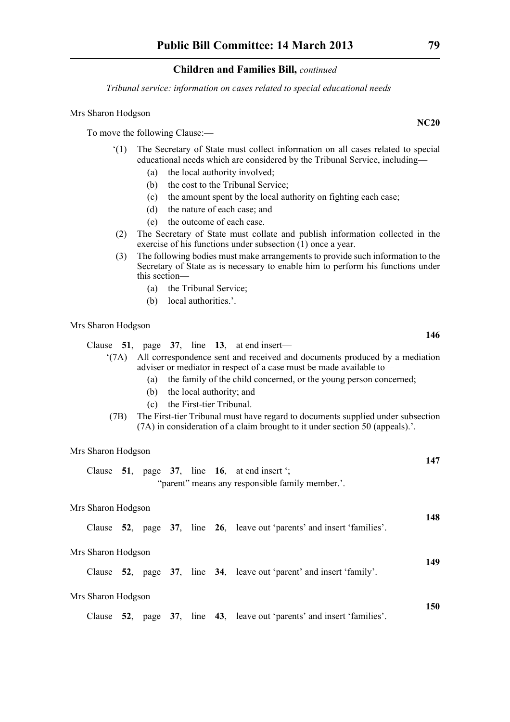*Tribunal service: information on cases related to special educational needs*

#### Mrs Sharon Hodgson

To move the following Clause:—

- '(1) The Secretary of State must collect information on all cases related to special educational needs which are considered by the Tribunal Service, including—
	- (a) the local authority involved;
	- (b) the cost to the Tribunal Service;
	- (c) the amount spent by the local authority on fighting each case;
	- (d) the nature of each case; and
	- (e) the outcome of each case.
- (2) The Secretary of State must collate and publish information collected in the exercise of his functions under subsection  $(1)$  once a year.
- (3) The following bodies must make arrangements to provide such information to the Secretary of State as is necessary to enable him to perform his functions under this section—
	- (a) the Tribunal Service;
	- (b) local authorities.'.

#### Mrs Sharon Hodgson

Clause **51**, page **37**, line **13**, at end insert—

'(7A) All correspondence sent and received and documents produced by a mediation adviser or mediator in respect of a case must be made available to—

- (a) the family of the child concerned, or the young person concerned;
- (b) the local authority; and
- (c) the First-tier Tribunal.
- (7B) The First-tier Tribunal must have regard to documents supplied under subsection (7A) in consideration of a claim brought to it under section 50 (appeals).'.

#### Mrs Sharon Hodgson

|                                                 |  |  |  |  |  | Clause 51, page 37, line 16, at end insert $\cdot$ ; |  |  |  |
|-------------------------------------------------|--|--|--|--|--|------------------------------------------------------|--|--|--|
| "parent" means any responsible family member.". |  |  |  |  |  |                                                      |  |  |  |

#### Mrs Sharon Hodgson

|  |  |  |  |  |  | Clause 52, page 37, line 26, leave out 'parents' and insert 'families'. |  |  |  |
|--|--|--|--|--|--|-------------------------------------------------------------------------|--|--|--|
|--|--|--|--|--|--|-------------------------------------------------------------------------|--|--|--|

#### Mrs Sharon Hodgson

Clause **52**, page **37**, line **34**, leave out 'parent' and insert 'family'.

#### Mrs Sharon Hodgson

Clause **52**, page **37**, line **43**, leave out 'parents' and insert 'families'.

### **NC20**

**146**

**147**

**148**

**149**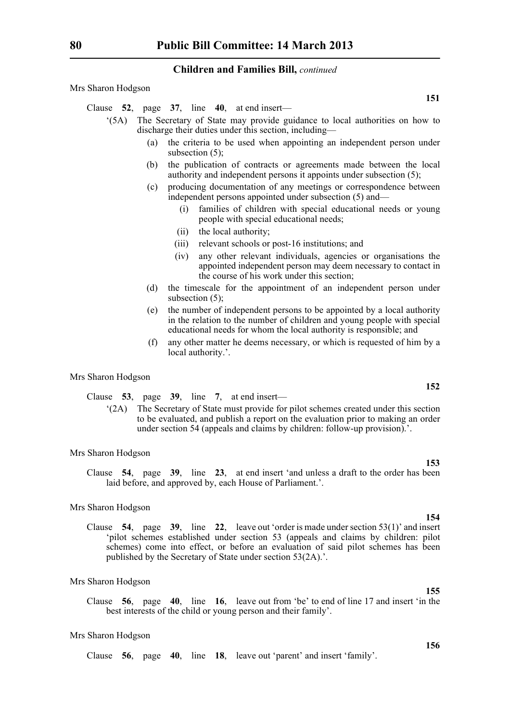Mrs Sharon Hodgson

Clause **52**, page **37**, line **40**, at end insert—

- '(5A) The Secretary of State may provide guidance to local authorities on how to discharge their duties under this section, including—
	- (a) the criteria to be used when appointing an independent person under subsection (5);
	- (b) the publication of contracts or agreements made between the local authority and independent persons it appoints under subsection (5);
	- (c) producing documentation of any meetings or correspondence between independent persons appointed under subsection (5) and—
		- (i) families of children with special educational needs or young people with special educational needs;
		- (ii) the local authority;
		- (iii) relevant schools or post-16 institutions; and
		- (iv) any other relevant individuals, agencies or organisations the appointed independent person may deem necessary to contact in the course of his work under this section;
	- (d) the timescale for the appointment of an independent person under subsection (5);
	- (e) the number of independent persons to be appointed by a local authority in the relation to the number of children and young people with special educational needs for whom the local authority is responsible; and
	- (f) any other matter he deems necessary, or which is requested of him by a local authority.'.

Mrs Sharon Hodgson

Clause **53**, page **39**, line **7**, at end insert—

'(2A) The Secretary of State must provide for pilot schemes created under this section to be evaluated, and publish a report on the evaluation prior to making an order under section 54 (appeals and claims by children: follow-up provision).'.

#### Mrs Sharon Hodgson

Clause **54**, page **39**, line **23**, at end insert 'and unless a draft to the order has been laid before, and approved by, each House of Parliament.'.

#### Mrs Sharon Hodgson

Clause **54**, page **39**, line **22**, leave out 'order is made under section 53(1)' and insert 'pilot schemes established under section 53 (appeals and claims by children: pilot schemes) come into effect, or before an evaluation of said pilot schemes has been published by the Secretary of State under section 53(2A).'.

#### Mrs Sharon Hodgson

Clause **56**, page **40**, line **16**, leave out from 'be' to end of line 17 and insert 'in the best interests of the child or young person and their family'.

#### Mrs Sharon Hodgson

Clause **56**, page **40**, line **18**, leave out 'parent' and insert 'family'.

**151**

**152**

**153**

## **154**

**156**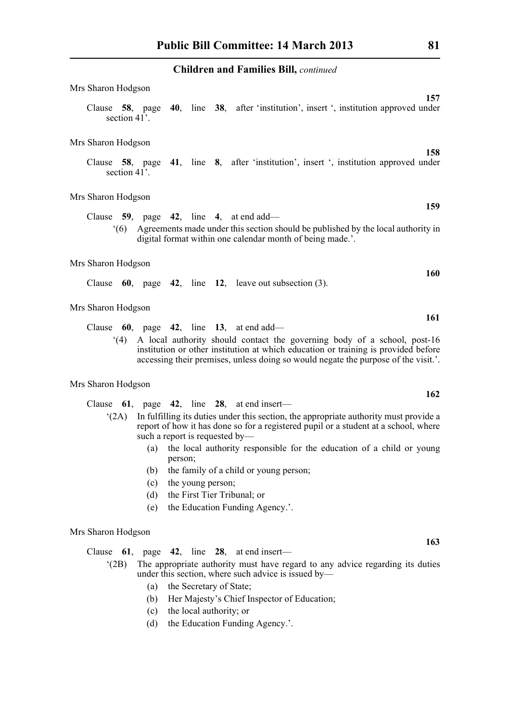| Mrs Sharon Hodgson |  |                                                                                               |  |
|--------------------|--|-----------------------------------------------------------------------------------------------|--|
| section 41'.       |  | 157<br>Clause 58, page 40, line 38, after 'institution', insert ', institution approved under |  |
| Mrs Sharon Hodgson |  | 158                                                                                           |  |
| section 41'.       |  | Clause 58, page 41, line 8, after 'institution', insert ', institution approved under         |  |
|                    |  |                                                                                               |  |

Mrs Sharon Hodgson

Clause **59**, page **42**, line **4**, at end add— '(6) Agreements made under this section should be published by the local authority in digital format within one calendar month of being made.'.

#### Mrs Sharon Hodgson

|  |  |  |  |  |  | Clause $60$ , page $42$ , line $12$ , leave out subsection (3). |  |  |
|--|--|--|--|--|--|-----------------------------------------------------------------|--|--|
|--|--|--|--|--|--|-----------------------------------------------------------------|--|--|

#### Mrs Sharon Hodgson

Clause **60**, page **42**, line **13**, at end add—

'(4) A local authority should contact the governing body of a school, post-16 institution or other institution at which education or training is provided before accessing their premises, unless doing so would negate the purpose of the visit.'.

#### Mrs Sharon Hodgson

- Clause **61**, page **42**, line **28**, at end insert—
	- '(2A) In fulfilling its duties under this section, the appropriate authority must provide a report of how it has done so for a registered pupil or a student at a school, where such a report is requested by—
		- (a) the local authority responsible for the education of a child or young person;
		- (b) the family of a child or young person;
		- (c) the young person;
		- (d) the First Tier Tribunal; or
		- (e) the Education Funding Agency.'.

#### Mrs Sharon Hodgson

Clause **61**, page **42**, line **28**, at end insert—

- '(2B) The appropriate authority must have regard to any advice regarding its duties under this section, where such advice is issued by—
	- (a) the Secretary of State;
	- (b) Her Majesty's Chief Inspector of Education;
	- (c) the local authority; or
	- (d) the Education Funding Agency.'.

**159**

**160**

**161**

**162**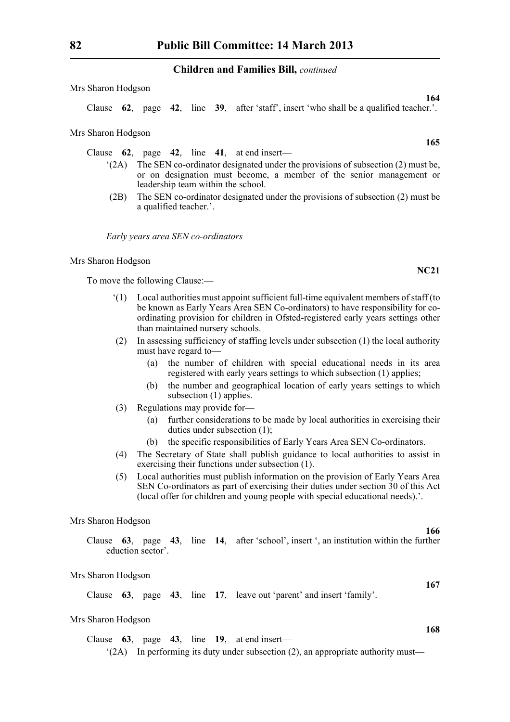Mrs Sharon Hodgson

Clause **62**, page **42**, line **39**, after 'staff', insert 'who shall be a qualified teacher.'.

Mrs Sharon Hodgson

Clause **62**, page **42**, line **41**, at end insert—

- '(2A) The SEN co-ordinator designated under the provisions of subsection (2) must be, or on designation must become, a member of the senior management or leadership team within the school.
- (2B) The SEN co-ordinator designated under the provisions of subsection (2) must be a qualified teacher.'.

*Early years area SEN co-ordinators*

Mrs Sharon Hodgson

To move the following Clause:—

- '(1) Local authorities must appoint sufficient full-time equivalent members of staff (to be known as Early Years Area SEN Co-ordinators) to have responsibility for coordinating provision for children in Ofsted-registered early years settings other than maintained nursery schools.
- (2) In assessing sufficiency of staffing levels under subsection (1) the local authority must have regard to—
	- (a) the number of children with special educational needs in its area registered with early years settings to which subsection (1) applies;
	- (b) the number and geographical location of early years settings to which subsection (1) applies.
- (3) Regulations may provide for—
	- (a) further considerations to be made by local authorities in exercising their duties under subsection (1);
	- (b) the specific responsibilities of Early Years Area SEN Co-ordinators.
- (4) The Secretary of State shall publish guidance to local authorities to assist in exercising their functions under subsection (1).
- (5) Local authorities must publish information on the provision of Early Years Area SEN Co-ordinators as part of exercising their duties under section 30 of this Act (local offer for children and young people with special educational needs).'.

Mrs Sharon Hodgson

|  |                   |  | Clause $\overline{63}$ , page $\overline{43}$ , line $\overline{14}$ , after 'school', insert ', an institution within the further |
|--|-------------------|--|------------------------------------------------------------------------------------------------------------------------------------|
|  | eduction sector'. |  |                                                                                                                                    |

#### Mrs Sharon Hodgson

Clause **63**, page **43**, line **17**, leave out 'parent' and insert 'family'.

#### Mrs Sharon Hodgson

Clause **63**, page **43**, line **19**, at end insert— '(2A) In performing its duty under subsection (2), an appropriate authority must—

**165**

**NC21**

**164**

**166**

**167**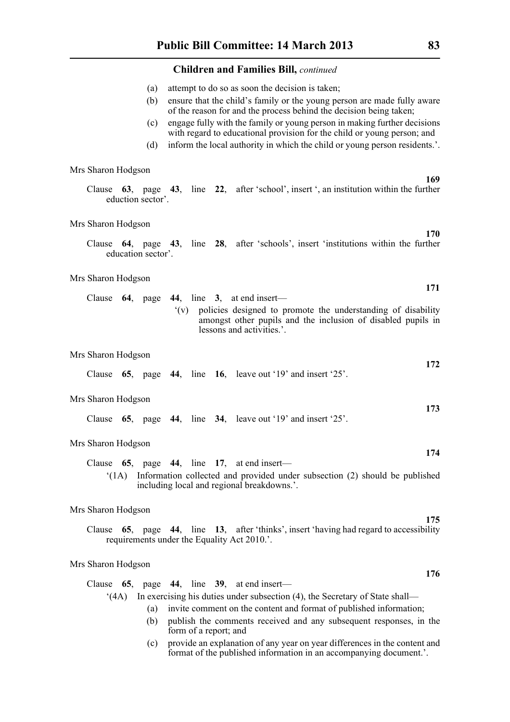- (a) attempt to do so as soon the decision is taken;
- (b) ensure that the child's family or the young person are made fully aware of the reason for and the process behind the decision being taken;
- (c) engage fully with the family or young person in making further decisions with regard to educational provision for the child or young person; and
- (d) inform the local authority in which the child or young person residents.'.

Mrs Sharon Hodgson

Clause **63**, page **43**, line **22**, after 'school', insert ', an institution within the further eduction sector'.

#### Mrs Sharon Hodgson

Clause **64**, page **43**, line **28**, after 'schools', insert 'institutions within the further education sector'.

#### Mrs Sharon Hodgson

|  |  |  | Clause $64$ , page $44$ , line 3, at end insert—                 |  |
|--|--|--|------------------------------------------------------------------|--|
|  |  |  | (v) policies designed to promote the understanding of disability |  |
|  |  |  | amongst other pupils and the inclusion of disabled pupils in     |  |
|  |  |  | lessons and activities.'.                                        |  |

#### Mrs Sharon Hodgson

|  |  |  |  |  |  | Clause $65$ , page $44$ , line $16$ , leave out '19' and insert '25'. |  |
|--|--|--|--|--|--|-----------------------------------------------------------------------|--|
|--|--|--|--|--|--|-----------------------------------------------------------------------|--|

#### Mrs Sharon Hodgson

Clause **65**, page **44**, line **34**, leave out '19' and insert '25'.

#### Mrs Sharon Hodgson

Clause **65**, page **44**, line **17**, at end insert— '(1A) Information collected and provided under subsection (2) should be published including local and regional breakdowns.'.

#### Mrs Sharon Hodgson

Clause **65**, page **44**, line **13**, after 'thinks', insert 'having had regard to accessibility requirements under the Equality Act 2010.'.

#### Mrs Sharon Hodgson

|      |     |                       | Clause $65$ , page $44$ , line $39$ , at end insert—                             |
|------|-----|-----------------------|----------------------------------------------------------------------------------|
| (4A) |     |                       | In exercising his duties under subsection (4), the Secretary of State shall—     |
|      | (a) |                       | invite comment on the content and format of published information;               |
|      |     | form of a report; and | publish the comments received and any subsequent responses, in the               |
|      |     |                       | (a) a mortida an amplanation of our more on more differences in the content on d |

(c) provide an explanation of any year on year differences in the content and format of the published information in an accompanying document.'.

**169**

**170**

**171**

**172**

**173**

**174**

**175**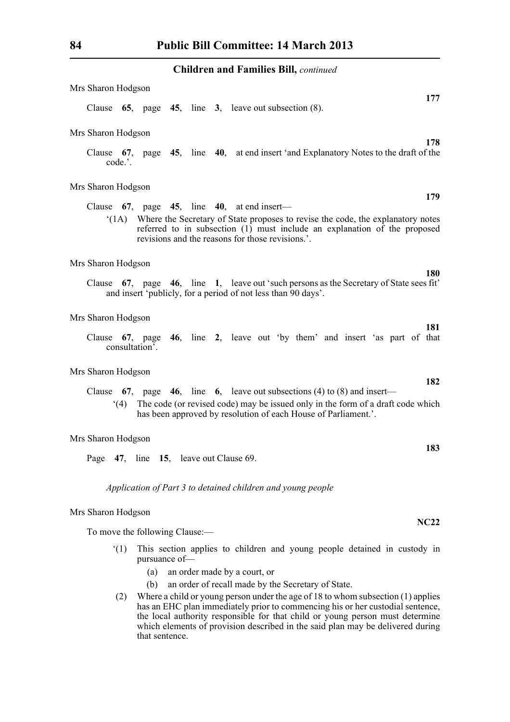| Mrs Sharon Hodgson                     |                             |  |                                                                                                                                                                                                                                                                                      |
|----------------------------------------|-----------------------------|--|--------------------------------------------------------------------------------------------------------------------------------------------------------------------------------------------------------------------------------------------------------------------------------------|
|                                        |                             |  | 177<br>Clause $65$ , page $45$ , line $3$ , leave out subsection $(8)$ .                                                                                                                                                                                                             |
| Mrs Sharon Hodgson                     |                             |  |                                                                                                                                                                                                                                                                                      |
| Clause $67$ ,<br>code.'.               |                             |  | 178<br>page 45, line 40, at end insert 'and Explanatory Notes to the draft of the                                                                                                                                                                                                    |
| Mrs Sharon Hodgson                     |                             |  |                                                                                                                                                                                                                                                                                      |
|                                        |                             |  | 179<br>Clause $67$ , page $45$ , line $40$ , at end insert—<br>(1A) Where the Secretary of State proposes to revise the code, the explanatory notes<br>referred to in subsection (1) must include an explanation of the proposed<br>revisions and the reasons for those revisions.'. |
| Mrs Sharon Hodgson                     |                             |  |                                                                                                                                                                                                                                                                                      |
|                                        |                             |  | <b>180</b><br>Clause 67, page 46, line 1, leave out 'such persons as the Secretary of State sees fit'<br>and insert 'publicly, for a period of not less than 90 days'.                                                                                                               |
| Mrs Sharon Hodgson                     |                             |  |                                                                                                                                                                                                                                                                                      |
| Clause<br>consultation'.               |                             |  | 181<br>67, page 46, line 2, leave out 'by them' and insert 'as part of that                                                                                                                                                                                                          |
| Mrs Sharon Hodgson                     |                             |  |                                                                                                                                                                                                                                                                                      |
| (4)                                    |                             |  | 182<br>Clause 67, page 46, line 6, leave out subsections (4) to (8) and insert—<br>The code (or revised code) may be issued only in the form of a draft code which<br>has been approved by resolution of each House of Parliament.'.                                                 |
| Mrs Sharon Hodgson                     |                             |  |                                                                                                                                                                                                                                                                                      |
| Page 47, line 15, leave out Clause 69. |                             |  | 183                                                                                                                                                                                                                                                                                  |
|                                        |                             |  | Application of Part 3 to detained children and young people                                                                                                                                                                                                                          |
| Mrs Sharon Hodgson                     |                             |  |                                                                                                                                                                                                                                                                                      |
| To move the following Clause:—         |                             |  | <b>NC22</b>                                                                                                                                                                                                                                                                          |
| (1)                                    | pursuance of-<br>(a)<br>(b) |  | This section applies to children and young people detained in custody in<br>an order made by a court, or<br>an order of recall made by the Secretary of State.                                                                                                                       |
|                                        |                             |  | (2) Where a child or young person under the age of 18 to whom subsection (1) applies<br>has an EHC plan immediately prior to commencing his or her custodial sentence.                                                                                                               |

has an EHC plan immediately prior to commencing his or her custodial sentence, the local authority responsible for that child or young person must determine which elements of provision described in the said plan may be delivered during that sentence.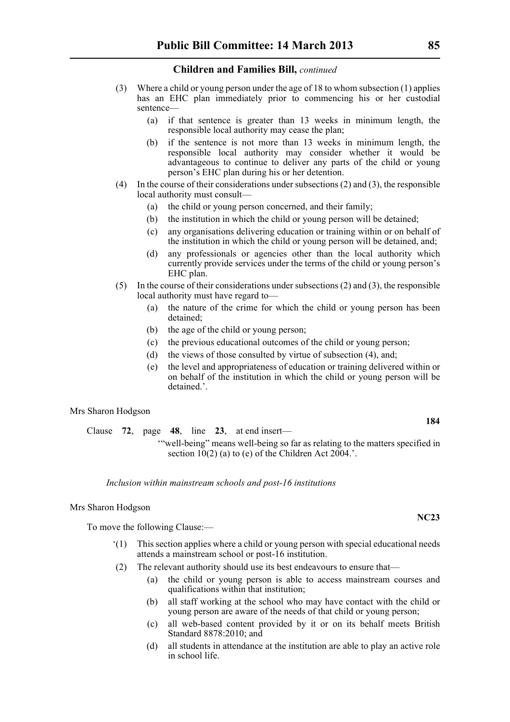- (3) Where a child or young person under the age of 18 to whom subsection (1) applies has an EHC plan immediately prior to commencing his or her custodial sentence—
	- (a) if that sentence is greater than 13 weeks in minimum length, the responsible local authority may cease the plan;
	- (b) if the sentence is not more than 13 weeks in minimum length, the responsible local authority may consider whether it would be advantageous to continue to deliver any parts of the child or young person's EHC plan during his or her detention.
- (4) In the course of their considerations under subsections (2) and (3), the responsible local authority must consult—
	- (a) the child or young person concerned, and their family;
	- (b) the institution in which the child or young person will be detained;
	- (c) any organisations delivering education or training within or on behalf of the institution in which the child or young person will be detained, and;
	- (d) any professionals or agencies other than the local authority which currently provide services under the terms of the child or young person's EHC plan.
- (5) In the course of their considerations under subsections (2) and (3), the responsible local authority must have regard to—
	- (a) the nature of the crime for which the child or young person has been detained;
	- (b) the age of the child or young person;
	- (c) the previous educational outcomes of the child or young person;
	- (d) the views of those consulted by virtue of subsection (4), and;
	- (e) the level and appropriateness of education or training delivered within or on behalf of the institution in which the child or young person will be detained.'.

#### Mrs Sharon Hodgson

Clause **72**, page **48**, line **23**, at end insert— '"well-being" means well-being so far as relating to the matters specified in section  $10(2)$  (a) to (e) of the Children Act 2004.'.

*Inclusion within mainstream schools and post-16 institutions*

#### Mrs Sharon Hodgson

To move the following Clause:—

- '(1) This section applies where a child or young person with special educational needs attends a mainstream school or post-16 institution.
- (2) The relevant authority should use its best endeavours to ensure that—
	- (a) the child or young person is able to access mainstream courses and qualifications within that institution;
	- (b) all staff working at the school who may have contact with the child or young person are aware of the needs of that child or young person;
	- (c) all web-based content provided by it or on its behalf meets British Standard 8878:2010; and
	- (d) all students in attendance at the institution are able to play an active role in school life.

# **NC23**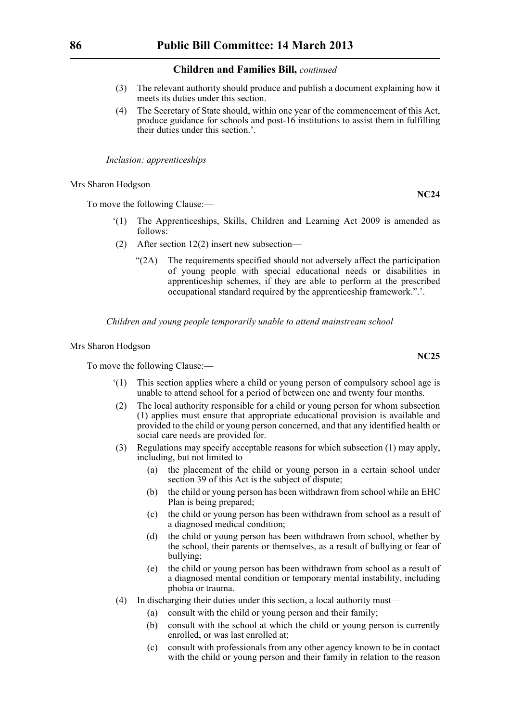- (3) The relevant authority should produce and publish a document explaining how it meets its duties under this section.
- (4) The Secretary of State should, within one year of the commencement of this Act, produce guidance for schools and post-16 institutions to assist them in fulfilling their duties under this section.'.

*Inclusion: apprenticeships*

Mrs Sharon Hodgson

To move the following Clause:—

- The Apprenticeships, Skills, Children and Learning Act 2009 is amended as follows:
- (2) After section 12(2) insert new subsection—
	- "(2A) The requirements specified should not adversely affect the participation of young people with special educational needs or disabilities in apprenticeship schemes, if they are able to perform at the prescribed occupational standard required by the apprenticeship framework.".'.

*Children and young people temporarily unable to attend mainstream school*

Mrs Sharon Hodgson

To move the following Clause:—

- '(1) This section applies where a child or young person of compulsory school age is unable to attend school for a period of between one and twenty four months.
- (2) The local authority responsible for a child or young person for whom subsection (1) applies must ensure that appropriate educational provision is available and provided to the child or young person concerned, and that any identified health or social care needs are provided for.
- (3) Regulations may specify acceptable reasons for which subsection (1) may apply, including, but not limited to—
	- (a) the placement of the child or young person in a certain school under section 39 of this Act is the subject of dispute;
	- (b) the child or young person has been withdrawn from school while an EHC Plan is being prepared;
	- (c) the child or young person has been withdrawn from school as a result of a diagnosed medical condition;
	- (d) the child or young person has been withdrawn from school, whether by the school, their parents or themselves, as a result of bullying or fear of bullying;
	- (e) the child or young person has been withdrawn from school as a result of a diagnosed mental condition or temporary mental instability, including phobia or trauma.
- (4) In discharging their duties under this section, a local authority must—
	- (a) consult with the child or young person and their family;
	- (b) consult with the school at which the child or young person is currently enrolled, or was last enrolled at;
	- (c) consult with professionals from any other agency known to be in contact with the child or young person and their family in relation to the reason

**NC25**

**NC24**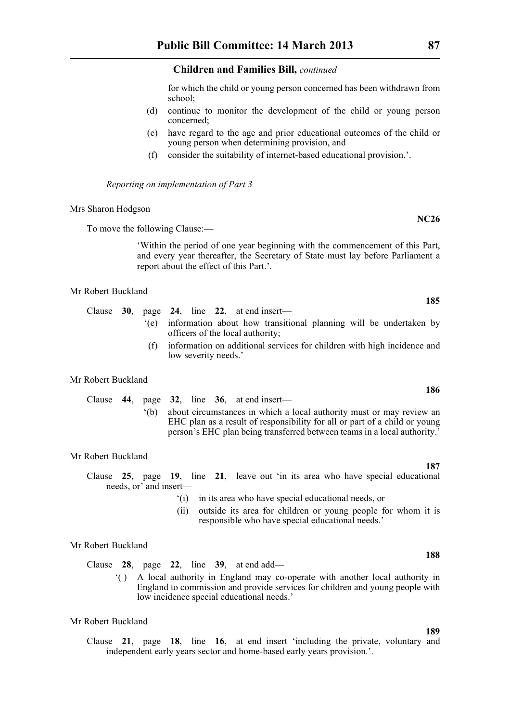for which the child or young person concerned has been withdrawn from school;

- (d) continue to monitor the development of the child or young person concerned;
- (e) have regard to the age and prior educational outcomes of the child or young person when determining provision, and
- (f) consider the suitability of internet-based educational provision.'.

*Reporting on implementation of Part 3*

Mrs Sharon Hodgson

To move the following Clause:—

'Within the period of one year beginning with the commencement of this Part, and every year thereafter, the Secretary of State must lay before Parliament a report about the effect of this Part.'.

#### Mr Robert Buckland

- Clause **30**, page **24**, line **22**, at end insert—
	- '(e) information about how transitional planning will be undertaken by officers of the local authority;
		- (f) information on additional services for children with high incidence and low severity needs.'

#### Mr Robert Buckland

Clause **44**, page **32**, line **36**, at end insert— '(b) about circumstances in which a local authority must or may review an EHC plan as a result of responsibility for all or part of a child or young person's EHC plan being transferred between teams in a local authority.'

#### Mr Robert Buckland

Clause **25**, page **19**, line **21**, leave out 'in its area who have special educational needs, or' and insert—

- '(i) in its area who have special educational needs, or
- (ii) outside its area for children or young people for whom it is responsible who have special educational needs.'

#### Mr Robert Buckland

Clause **28**, page **22**, line **39**, at end add—

'( ) A local authority in England may co-operate with another local authority in England to commission and provide services for children and young people with low incidence special educational needs.'

Clause **21**, page **18**, line **16**, at end insert 'including the private, voluntary and independent early years sector and home-based early years provision.'.

**185**

**NC26**

#### **188**

#### **189**

# **187**

Mr Robert Buckland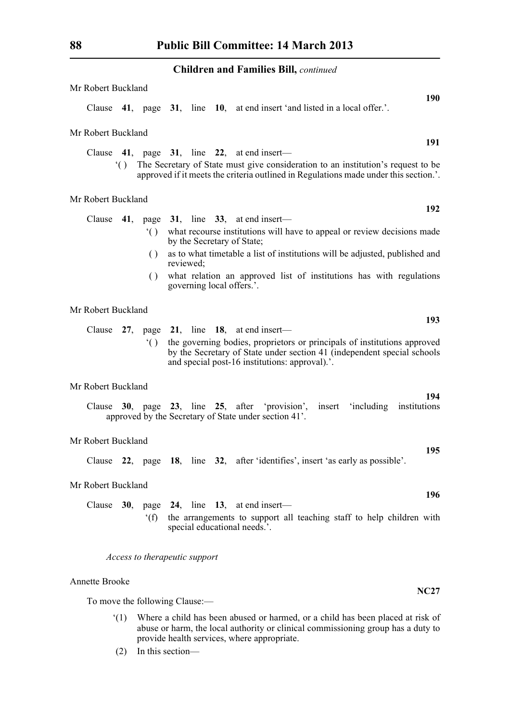| Mr Robert Buckland                                                                                                                                                                                                                                                                                                                                                                               |
|--------------------------------------------------------------------------------------------------------------------------------------------------------------------------------------------------------------------------------------------------------------------------------------------------------------------------------------------------------------------------------------------------|
| <b>190</b><br>41, page 31, line 10, at end insert 'and listed in a local offer.'.<br>Clause                                                                                                                                                                                                                                                                                                      |
| Mr Robert Buckland                                                                                                                                                                                                                                                                                                                                                                               |
| 191<br>Clause $41$ , page $31$ , line $22$ , at end insert—<br>() The Secretary of State must give consideration to an institution's request to be<br>approved if it meets the criteria outlined in Regulations made under this section.'.                                                                                                                                                       |
| Mr Robert Buckland                                                                                                                                                                                                                                                                                                                                                                               |
| 192<br>Clause<br>41, page $31$ , line $33$ , at end insert—<br>what recourse institutions will have to appeal or review decisions made<br>$^{\circ}()$<br>by the Secretary of State;<br>as to what timetable a list of institutions will be adjusted, published and<br>()<br>reviewed;<br>what relation an approved list of institutions has with regulations<br>()<br>governing local offers.'. |
| Mr Robert Buckland                                                                                                                                                                                                                                                                                                                                                                               |
| 193<br>Clause $27$ , page $21$ , line 18, at end insert—<br>the governing bodies, proprietors or principals of institutions approved<br>$^{\circ}$ ( )<br>by the Secretary of State under section 41 (independent special schools<br>and special post-16 institutions: approval).'.                                                                                                              |
| Mr Robert Buckland                                                                                                                                                                                                                                                                                                                                                                               |
| 194<br>Clause 30, page 23, line 25, after 'provision', insert 'including institutions<br>approved by the Secretary of State under section 41'.                                                                                                                                                                                                                                                   |
| Mr Robert Buckland                                                                                                                                                                                                                                                                                                                                                                               |
| 195<br>22, page 18, line 32, after 'identifies', insert 'as early as possible'.<br>Clause                                                                                                                                                                                                                                                                                                        |
| Mr Robert Buckland                                                                                                                                                                                                                                                                                                                                                                               |
| 196<br>Clause $30$ , page $24$ , line 13, at end insert—<br>the arrangements to support all teaching staff to help children with<br>f(f)<br>special educational needs.'.                                                                                                                                                                                                                         |
| Access to therapeutic support                                                                                                                                                                                                                                                                                                                                                                    |

### Annette Brooke

To move the following Clause:—

'(1) Where a child has been abused or harmed, or a child has been placed at risk of abuse or harm, the local authority or clinical commissioning group has a duty to provide health services, where appropriate.

**NC27**

(2) In this section—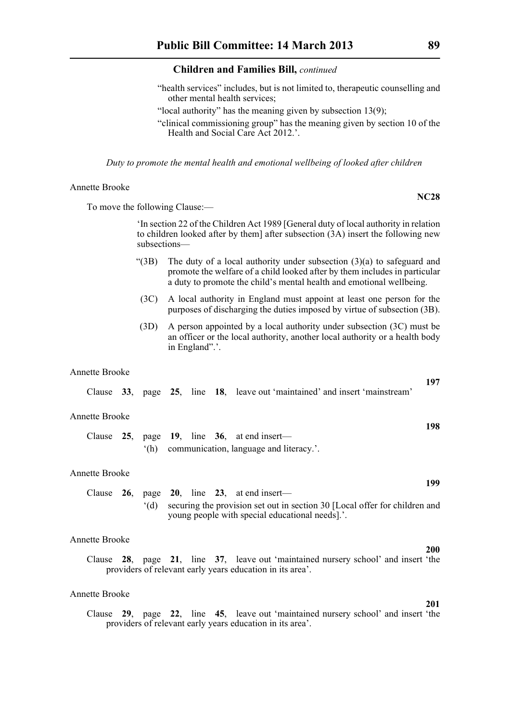- "health services" includes, but is not limited to, therapeutic counselling and other mental health services;
- "local authority" has the meaning given by subsection 13(9);
- "clinical commissioning group" has the meaning given by section 10 of the Health and Social Care Act 2012.

*Duty to promote the mental health and emotional wellbeing of looked after children*

Annette Brooke

To move the following Clause:—

'In section 22 of the Children Act 1989 [General duty of local authority in relation to children looked after by them] after subsection (3A) insert the following new subsections—

- "(3B) The duty of a local authority under subsection  $(3)(a)$  to safeguard and promote the welfare of a child looked after by them includes in particular a duty to promote the child's mental health and emotional wellbeing.
- (3C) A local authority in England must appoint at least one person for the purposes of discharging the duties imposed by virtue of subsection (3B).
- (3D) A person appointed by a local authority under subsection (3C) must be an officer or the local authority, another local authority or a health body in England".'.

#### Annette Brooke

|                |  |  | Clause 33, page 25, line 18, leave out 'maintained' and insert 'mainstream'                | 197 |
|----------------|--|--|--------------------------------------------------------------------------------------------|-----|
| Annette Brooke |  |  |                                                                                            | 198 |
|                |  |  | Clause $25$ , page 19, line 36, at end insert—<br>(h) communication, language and literacy |     |
| Annette Brooke |  |  |                                                                                            | 199 |
|                |  |  | Clause $26$ , page $20$ , line $23$ , at end insert—                                       |     |

'(d) securing the provision set out in section 30 [Local offer for children and young people with special educational needs].'.

### Annette Brooke

Clause **28**, page **21**, line **37**, leave out 'maintained nursery school' and insert 'the providers of relevant early years education in its area'.

#### Annette Brooke

Clause **29**, page **22**, line **45**, leave out 'maintained nursery school' and insert 'the providers of relevant early years education in its area'.

**NC28**

# **200**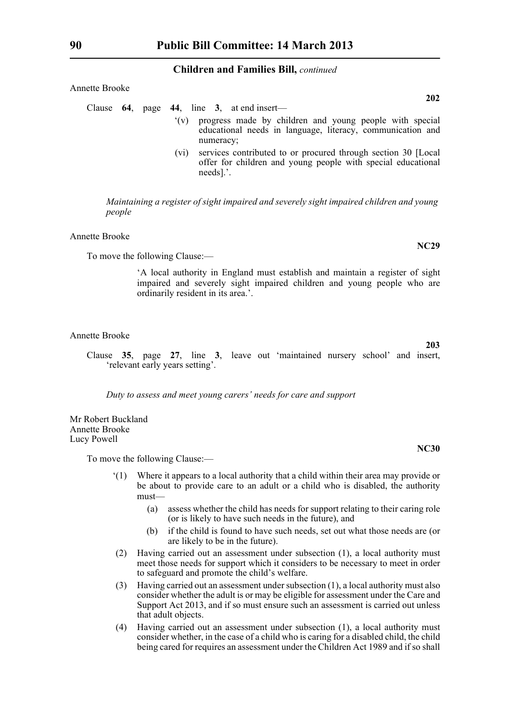| Annette Brooke |                                                                                                                                                                     |            |
|----------------|---------------------------------------------------------------------------------------------------------------------------------------------------------------------|------------|
| Clause 64.     | page $44$ , line 3, at end insert—                                                                                                                                  | <b>202</b> |
|                | progress made by children and young people with special<br>(y)<br>educational needs in language, literacy, communication and<br>numeracy;                           |            |
|                | services contributed to or procured through section 30 [Local]<br>(v <sub>1</sub> )<br>offer for children and young people with special educational<br>$needs$ ].'. |            |

*Maintaining a register of sight impaired and severely sight impaired children and young people*

Annette Brooke

To move the following Clause:—

'A local authority in England must establish and maintain a register of sight impaired and severely sight impaired children and young people who are ordinarily resident in its area.'.

#### Annette Brooke

Clause **35**, page **27**, line **3**, leave out 'maintained nursery school' and insert, 'relevant early years setting'.

*Duty to assess and meet young carers' needs for care and support*

Mr Robert Buckland Annette Brooke Lucy Powell

To move the following Clause:—

- '(1) Where it appears to a local authority that a child within their area may provide or be about to provide care to an adult or a child who is disabled, the authority must—
	- (a) assess whether the child has needs for support relating to their caring role (or is likely to have such needs in the future), and
	- (b) if the child is found to have such needs, set out what those needs are (or are likely to be in the future).
- (2) Having carried out an assessment under subsection (1), a local authority must meet those needs for support which it considers to be necessary to meet in order to safeguard and promote the child's welfare.
- (3) Having carried out an assessment under subsection (1), a local authority must also consider whether the adult is or may be eligible for assessment under the Care and Support Act 2013, and if so must ensure such an assessment is carried out unless that adult objects.
- (4) Having carried out an assessment under subsection (1), a local authority must consider whether, in the case of a child who is caring for a disabled child, the child being cared for requires an assessment under the Children Act 1989 and if so shall

**203**

**NC30**

**NC29**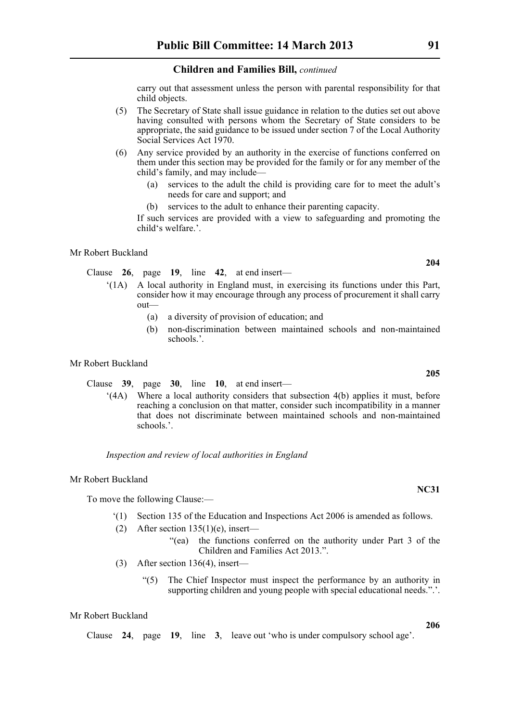carry out that assessment unless the person with parental responsibility for that child objects.

- (5) The Secretary of State shall issue guidance in relation to the duties set out above having consulted with persons whom the Secretary of State considers to be appropriate, the said guidance to be issued under section 7 of the Local Authority Social Services Act 1970.
- (6) Any service provided by an authority in the exercise of functions conferred on them under this section may be provided for the family or for any member of the child's family, and may include—
	- (a) services to the adult the child is providing care for to meet the adult's needs for care and support; and
	- (b) services to the adult to enhance their parenting capacity.

If such services are provided with a view to safeguarding and promoting the child's welfare.'.

#### Mr Robert Buckland

Clause **26**, page **19**, line **42**, at end insert—

- '(1A) A local authority in England must, in exercising its functions under this Part, consider how it may encourage through any process of procurement it shall carry out—
	- (a) a diversity of provision of education; and
	- (b) non-discrimination between maintained schools and non-maintained schools.'.

#### Mr Robert Buckland

Clause **39**, page **30**, line **10**, at end insert—

'(4A) Where a local authority considers that subsection 4(b) applies it must, before reaching a conclusion on that matter, consider such incompatibility in a manner that does not discriminate between maintained schools and non-maintained schools.<sup>2</sup>

*Inspection and review of local authorities in England*

#### Mr Robert Buckland

To move the following Clause:—

- '(1) Section 135 of the Education and Inspections Act 2006 is amended as follows.
- (2) After section  $135(1)(e)$ , insert—
	- "(ea) the functions conferred on the authority under Part 3 of the Children and Families Act 2013.".
- (3) After section 136(4), insert—
	- "(5) The Chief Inspector must inspect the performance by an authority in supporting children and young people with special educational needs.".

#### Mr Robert Buckland

Clause **24**, page **19**, line **3**, leave out 'who is under compulsory school age'.

**205**

**204**

**NC31**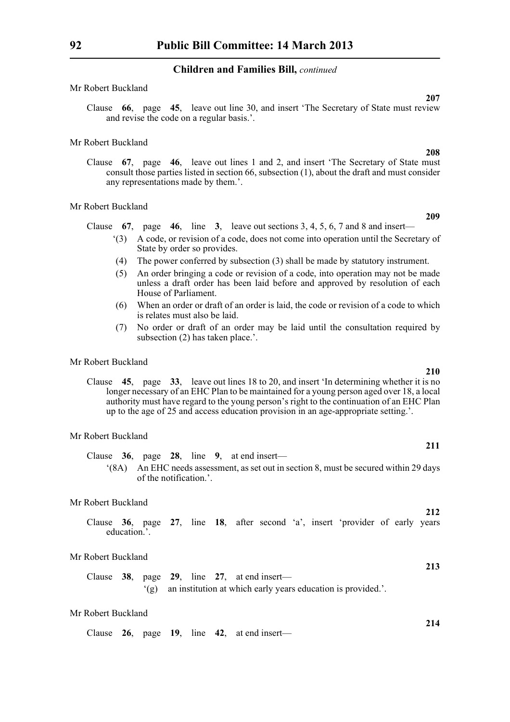#### Mr Robert Buckland

Clause **66**, page **45**, leave out line 30, and insert 'The Secretary of State must review and revise the code on a regular basis.'.

#### Mr Robert Buckland

Clause **67**, page **46**, leave out lines 1 and 2, and insert 'The Secretary of State must consult those parties listed in section 66, subsection (1), about the draft and must consider any representations made by them.'.

#### Mr Robert Buckland

Clause **67**, page **46**, line **3**, leave out sections 3, 4, 5, 6, 7 and 8 and insert—

- '(3) A code, or revision of a code, does not come into operation until the Secretary of State by order so provides.
- (4) The power conferred by subsection (3) shall be made by statutory instrument.
- (5) An order bringing a code or revision of a code, into operation may not be made unless a draft order has been laid before and approved by resolution of each House of Parliament.
- (6) When an order or draft of an order is laid, the code or revision of a code to which is relates must also be laid.
- (7) No order or draft of an order may be laid until the consultation required by subsection (2) has taken place.'.

#### Mr Robert Buckland

Clause **45**, page **33**, leave out lines 18 to 20, and insert 'In determining whether it is no longer necessary of an EHC Plan to be maintained for a young person aged over 18, a local authority must have regard to the young person's right to the continuation of an EHC Plan up to the age of 25 and access education provision in an age-appropriate setting.'.

#### Mr Robert Buckland

Clause **36**, page **28**, line **9**, at end insert— '(8A) An EHC needs assessment, as set out in section 8, must be secured within 29 days

of the notification.'.

#### Mr Robert Buckland

Clause **36**, page **27**, line **18**, after second 'a', insert 'provider of early years education<sup>5</sup>

#### Mr Robert Buckland

Clause **38**, page **29**, line **27**, at end insert— '(g) an institution at which early years education is provided.'.

#### Mr Robert Buckland

Clause **26**, page **19**, line **42**, at end insert—

**209**

**207**

**208**

#### **211**

**210**

**212**

**213**